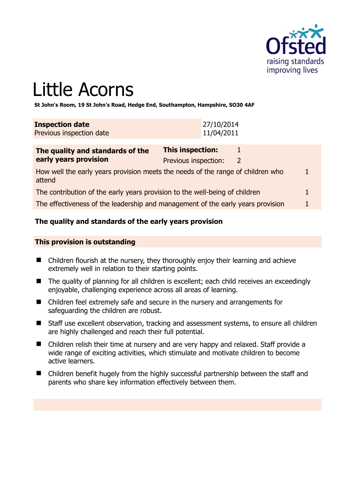

# Little Acorns

**St John's Room, 19 St John's Road, Hedge End, Southampton, Hampshire, SO30 4AF** 

| <b>Inspection date</b>   | 27/10/2014 |
|--------------------------|------------|
| Previous inspection date | 11/04/2011 |

| The quality and standards of the                                                          | This inspection:     |              |  |
|-------------------------------------------------------------------------------------------|----------------------|--------------|--|
| early years provision                                                                     | Previous inspection: | <sup>2</sup> |  |
| How well the early years provision meets the needs of the range of children who<br>attend |                      |              |  |
| The contribution of the early years provision to the well-being of children               |                      |              |  |

The effectiveness of the leadership and management of the early years provision 1

#### **The quality and standards of the early years provision**

#### **This provision is outstanding**

- Children flourish at the nursery, they thoroughly enjoy their learning and achieve extremely well in relation to their starting points.
- The quality of planning for all children is excellent; each child receives an exceedingly enjoyable, challenging experience across all areas of learning.
- Children feel extremely safe and secure in the nursery and arrangements for safeguarding the children are robust.
- Staff use excellent observation, tracking and assessment systems, to ensure all children are highly challenged and reach their full potential.
- Children relish their time at nursery and are very happy and relaxed. Staff provide a wide range of exciting activities, which stimulate and motivate children to become active learners.
- Children benefit hugely from the highly successful partnership between the staff and parents who share key information effectively between them.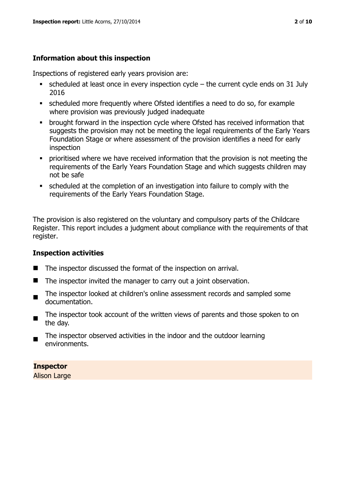# **Information about this inspection**

Inspections of registered early years provision are:

- $\bullet$  scheduled at least once in every inspection cycle the current cycle ends on 31 July 2016
- scheduled more frequently where Ofsted identifies a need to do so, for example where provision was previously judged inadequate
- **•** brought forward in the inspection cycle where Ofsted has received information that suggests the provision may not be meeting the legal requirements of the Early Years Foundation Stage or where assessment of the provision identifies a need for early inspection
- **•** prioritised where we have received information that the provision is not meeting the requirements of the Early Years Foundation Stage and which suggests children may not be safe
- scheduled at the completion of an investigation into failure to comply with the requirements of the Early Years Foundation Stage.

The provision is also registered on the voluntary and compulsory parts of the Childcare Register. This report includes a judgment about compliance with the requirements of that register.

# **Inspection activities**

- The inspector discussed the format of the inspection on arrival.
- $\blacksquare$  The inspector invited the manager to carry out a joint observation.
- The inspector looked at children's online assessment records and sampled some documentation.
- The inspector took account of the written views of parents and those spoken to on the day.
- The inspector observed activities in the indoor and the outdoor learning environments.

**Inspector** 

Alison Large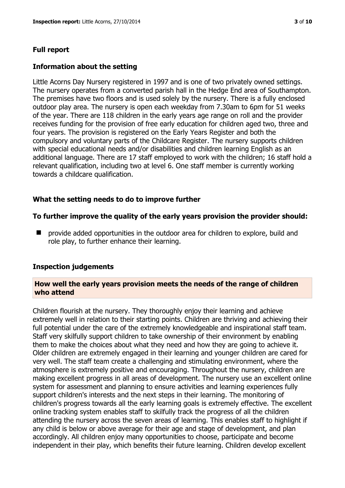# **Full report**

#### **Information about the setting**

Little Acorns Day Nursery registered in 1997 and is one of two privately owned settings. The nursery operates from a converted parish hall in the Hedge End area of Southampton. The premises have two floors and is used solely by the nursery. There is a fully enclosed outdoor play area. The nursery is open each weekday from 7.30am to 6pm for 51 weeks of the year. There are 118 children in the early years age range on roll and the provider receives funding for the provision of free early education for children aged two, three and four years. The provision is registered on the Early Years Register and both the compulsory and voluntary parts of the Childcare Register. The nursery supports children with special educational needs and/or disabilities and children learning English as an additional language. There are 17 staff employed to work with the children; 16 staff hold a relevant qualification, including two at level 6. One staff member is currently working towards a childcare qualification.

#### **What the setting needs to do to improve further**

#### **To further improve the quality of the early years provision the provider should:**

**P** provide added opportunities in the outdoor area for children to explore, build and role play, to further enhance their learning.

#### **Inspection judgements**

#### **How well the early years provision meets the needs of the range of children who attend**

Children flourish at the nursery. They thoroughly enjoy their learning and achieve extremely well in relation to their starting points. Children are thriving and achieving their full potential under the care of the extremely knowledgeable and inspirational staff team. Staff very skilfully support children to take ownership of their environment by enabling them to make the choices about what they need and how they are going to achieve it. Older children are extremely engaged in their learning and younger children are cared for very well. The staff team create a challenging and stimulating environment, where the atmosphere is extremely positive and encouraging. Throughout the nursery, children are making excellent progress in all areas of development. The nursery use an excellent online system for assessment and planning to ensure activities and learning experiences fully support children's interests and the next steps in their learning. The monitoring of children's progress towards all the early learning goals is extremely effective. The excellent online tracking system enables staff to skilfully track the progress of all the children attending the nursery across the seven areas of learning. This enables staff to highlight if any child is below or above average for their age and stage of development, and plan accordingly. All children enjoy many opportunities to choose, participate and become independent in their play, which benefits their future learning. Children develop excellent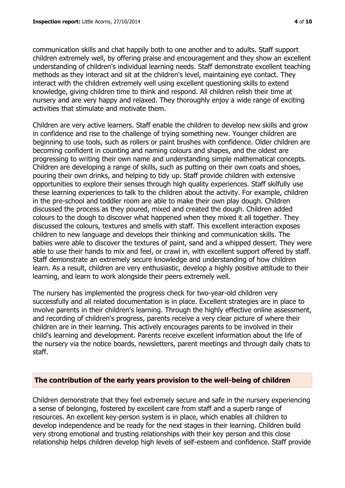communication skills and chat happily both to one another and to adults. Staff support children extremely well, by offering praise and encouragement and they show an excellent understanding of children's individual learning needs. Staff demonstrate excellent teaching methods as they interact and sit at the children's level, maintaining eye contact. They interact with the children extremely well using excellent questioning skills to extend knowledge, giving children time to think and respond. All children relish their time at nursery and are very happy and relaxed. They thoroughly enjoy a wide range of exciting activities that stimulate and motivate them.

Children are very active learners. Staff enable the children to develop new skills and grow in confidence and rise to the challenge of trying something new. Younger children are beginning to use tools, such as rollers or paint brushes with confidence. Older children are becoming confident in counting and naming colours and shapes, and the oldest are progressing to writing their own name and understanding simple mathematical concepts. Children are developing a range of skills, such as putting on their own coats and shoes, pouring their own drinks, and helping to tidy up. Staff provide children with extensive opportunities to explore their senses through high quality experiences. Staff skilfully use these learning experiences to talk to the children about the activity. For example, children in the pre-school and toddler room are able to make their own play dough. Children discussed the process as they poured, mixed and created the dough. Children added colours to the dough to discover what happened when they mixed it all together. They discussed the colours, textures and smells with staff. This excellent interaction exposes children to new language and develops their thinking and communication skills. The babies were able to discover the textures of paint, sand and a whipped dessert. They were able to use their hands to mix and feel, or crawl in, with excellent support offered by staff. Staff demonstrate an extremely secure knowledge and understanding of how children learn. As a result, children are very enthusiastic, develop a highly positive attitude to their learning, and learn to work alongside their peers extremely well.

The nursery has implemented the progress check for two-year-old children very successfully and all related documentation is in place. Excellent strategies are in place to involve parents in their children's learning. Through the highly effective online assessment, and recording of children's progress, parents receive a very clear picture of where their children are in their learning. This actively encourages parents to be involved in their child's learning and development. Parents receive excellent information about the life of the nursery via the notice boards, newsletters, parent meetings and through daily chats to staff.

# **The contribution of the early years provision to the well-being of children**

Children demonstrate that they feel extremely secure and safe in the nursery experiencing a sense of belonging, fostered by excellent care from staff and a superb range of resources. An excellent key-person system is in place, which enables all children to develop independence and be ready for the next stages in their learning. Children build very strong emotional and trusting relationships with their key person and this close relationship helps children develop high levels of self-esteem and confidence. Staff provide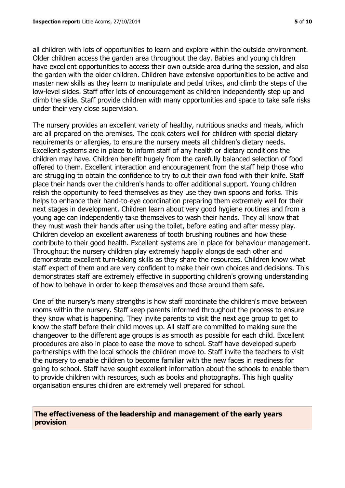all children with lots of opportunities to learn and explore within the outside environment. Older children access the garden area throughout the day. Babies and young children have excellent opportunities to access their own outside area during the session, and also the garden with the older children. Children have extensive opportunities to be active and master new skills as they learn to manipulate and pedal trikes, and climb the steps of the low-level slides. Staff offer lots of encouragement as children independently step up and climb the slide. Staff provide children with many opportunities and space to take safe risks under their very close supervision.

The nursery provides an excellent variety of healthy, nutritious snacks and meals, which are all prepared on the premises. The cook caters well for children with special dietary requirements or allergies, to ensure the nursery meets all children's dietary needs. Excellent systems are in place to inform staff of any health or dietary conditions the children may have. Children benefit hugely from the carefully balanced selection of food offered to them. Excellent interaction and encouragement from the staff help those who are struggling to obtain the confidence to try to cut their own food with their knife. Staff place their hands over the children's hands to offer additional support. Young children relish the opportunity to feed themselves as they use they own spoons and forks. This helps to enhance their hand-to-eye coordination preparing them extremely well for their next stages in development. Children learn about very good hygiene routines and from a young age can independently take themselves to wash their hands. They all know that they must wash their hands after using the toilet, before eating and after messy play. Children develop an excellent awareness of tooth brushing routines and how these contribute to their good health. Excellent systems are in place for behaviour management. Throughout the nursery children play extremely happily alongside each other and demonstrate excellent turn-taking skills as they share the resources. Children know what staff expect of them and are very confident to make their own choices and decisions. This demonstrates staff are extremely effective in supporting children's growing understanding of how to behave in order to keep themselves and those around them safe.

One of the nursery's many strengths is how staff coordinate the children's move between rooms within the nursery. Staff keep parents informed throughout the process to ensure they know what is happening. They invite parents to visit the next age group to get to know the staff before their child moves up. All staff are committed to making sure the changeover to the different age groups is as smooth as possible for each child. Excellent procedures are also in place to ease the move to school. Staff have developed superb partnerships with the local schools the children move to. Staff invite the teachers to visit the nursery to enable children to become familiar with the new faces in readiness for going to school. Staff have sought excellent information about the schools to enable them to provide children with resources, such as books and photographs. This high quality organisation ensures children are extremely well prepared for school.

# **The effectiveness of the leadership and management of the early years provision**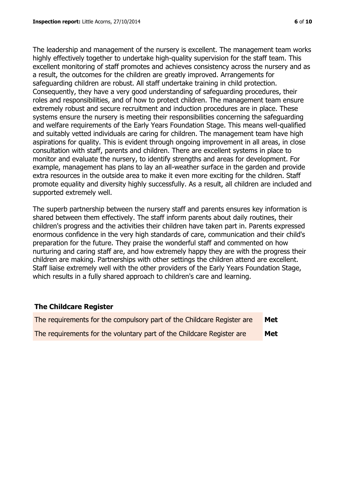The leadership and management of the nursery is excellent. The management team works highly effectively together to undertake high-quality supervision for the staff team. This excellent monitoring of staff promotes and achieves consistency across the nursery and as a result, the outcomes for the children are greatly improved. Arrangements for safeguarding children are robust. All staff undertake training in child protection. Consequently, they have a very good understanding of safeguarding procedures, their roles and responsibilities, and of how to protect children. The management team ensure extremely robust and secure recruitment and induction procedures are in place. These systems ensure the nursery is meeting their responsibilities concerning the safeguarding and welfare requirements of the Early Years Foundation Stage. This means well-qualified and suitably vetted individuals are caring for children. The management team have high aspirations for quality. This is evident through ongoing improvement in all areas, in close consultation with staff, parents and children. There are excellent systems in place to monitor and evaluate the nursery, to identify strengths and areas for development. For example, management has plans to lay an all-weather surface in the garden and provide extra resources in the outside area to make it even more exciting for the children. Staff promote equality and diversity highly successfully. As a result, all children are included and supported extremely well.

The superb partnership between the nursery staff and parents ensures key information is shared between them effectively. The staff inform parents about daily routines, their children's progress and the activities their children have taken part in. Parents expressed enormous confidence in the very high standards of care, communication and their child's preparation for the future. They praise the wonderful staff and commented on how nurturing and caring staff are, and how extremely happy they are with the progress their children are making. Partnerships with other settings the children attend are excellent. Staff liaise extremely well with the other providers of the Early Years Foundation Stage, which results in a fully shared approach to children's care and learning.

#### **The Childcare Register**

| The requirements for the compulsory part of the Childcare Register are | Met |
|------------------------------------------------------------------------|-----|
| The requirements for the voluntary part of the Childcare Register are  | Met |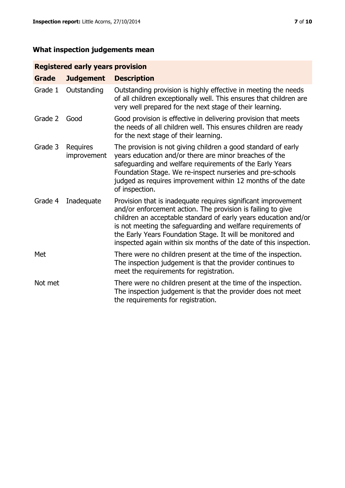# **What inspection judgements mean**

# **Registered early years provision**

| <b>Grade</b> | <b>Judgement</b>        | <b>Description</b>                                                                                                                                                                                                                                                                                                                                                                                |
|--------------|-------------------------|---------------------------------------------------------------------------------------------------------------------------------------------------------------------------------------------------------------------------------------------------------------------------------------------------------------------------------------------------------------------------------------------------|
| Grade 1      | Outstanding             | Outstanding provision is highly effective in meeting the needs<br>of all children exceptionally well. This ensures that children are<br>very well prepared for the next stage of their learning.                                                                                                                                                                                                  |
| Grade 2      | Good                    | Good provision is effective in delivering provision that meets<br>the needs of all children well. This ensures children are ready<br>for the next stage of their learning.                                                                                                                                                                                                                        |
| Grade 3      | Requires<br>improvement | The provision is not giving children a good standard of early<br>years education and/or there are minor breaches of the<br>safeguarding and welfare requirements of the Early Years<br>Foundation Stage. We re-inspect nurseries and pre-schools<br>judged as requires improvement within 12 months of the date<br>of inspection.                                                                 |
| Grade 4      | Inadequate              | Provision that is inadequate requires significant improvement<br>and/or enforcement action. The provision is failing to give<br>children an acceptable standard of early years education and/or<br>is not meeting the safeguarding and welfare requirements of<br>the Early Years Foundation Stage. It will be monitored and<br>inspected again within six months of the date of this inspection. |
| Met          |                         | There were no children present at the time of the inspection.<br>The inspection judgement is that the provider continues to<br>meet the requirements for registration.                                                                                                                                                                                                                            |
| Not met      |                         | There were no children present at the time of the inspection.<br>The inspection judgement is that the provider does not meet<br>the requirements for registration.                                                                                                                                                                                                                                |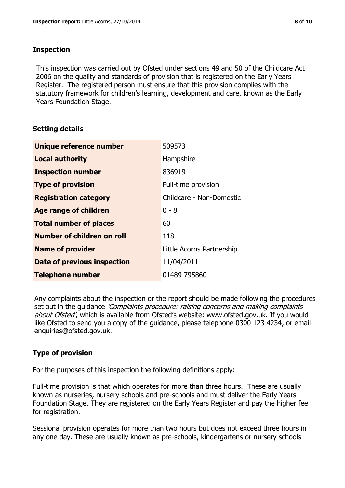#### **Inspection**

This inspection was carried out by Ofsted under sections 49 and 50 of the Childcare Act 2006 on the quality and standards of provision that is registered on the Early Years Register. The registered person must ensure that this provision complies with the statutory framework for children's learning, development and care, known as the Early Years Foundation Stage.

#### **Setting details**

| <b>Unique reference number</b>     | 509573                    |
|------------------------------------|---------------------------|
| <b>Local authority</b>             | Hampshire                 |
| <b>Inspection number</b>           | 836919                    |
| <b>Type of provision</b>           | Full-time provision       |
| <b>Registration category</b>       | Childcare - Non-Domestic  |
| <b>Age range of children</b>       | $0 - 8$                   |
| <b>Total number of places</b>      | 60                        |
| Number of children on roll         | 118                       |
| <b>Name of provider</b>            | Little Acorns Partnership |
| <b>Date of previous inspection</b> | 11/04/2011                |
| <b>Telephone number</b>            | 01489 795860              |

Any complaints about the inspection or the report should be made following the procedures set out in the guidance *'Complaints procedure: raising concerns and making complaints* about Ofsted', which is available from Ofsted's website: www.ofsted.gov.uk. If you would like Ofsted to send you a copy of the guidance, please telephone 0300 123 4234, or email enquiries@ofsted.gov.uk.

# **Type of provision**

For the purposes of this inspection the following definitions apply:

Full-time provision is that which operates for more than three hours. These are usually known as nurseries, nursery schools and pre-schools and must deliver the Early Years Foundation Stage. They are registered on the Early Years Register and pay the higher fee for registration.

Sessional provision operates for more than two hours but does not exceed three hours in any one day. These are usually known as pre-schools, kindergartens or nursery schools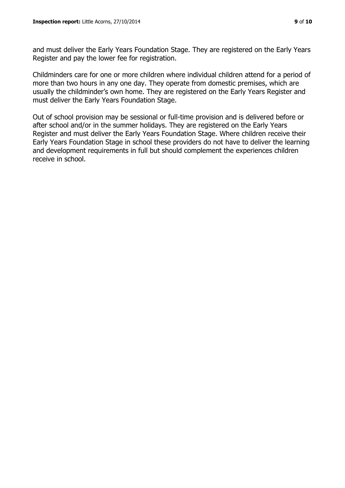and must deliver the Early Years Foundation Stage. They are registered on the Early Years Register and pay the lower fee for registration.

Childminders care for one or more children where individual children attend for a period of more than two hours in any one day. They operate from domestic premises, which are usually the childminder's own home. They are registered on the Early Years Register and must deliver the Early Years Foundation Stage.

Out of school provision may be sessional or full-time provision and is delivered before or after school and/or in the summer holidays. They are registered on the Early Years Register and must deliver the Early Years Foundation Stage. Where children receive their Early Years Foundation Stage in school these providers do not have to deliver the learning and development requirements in full but should complement the experiences children receive in school.